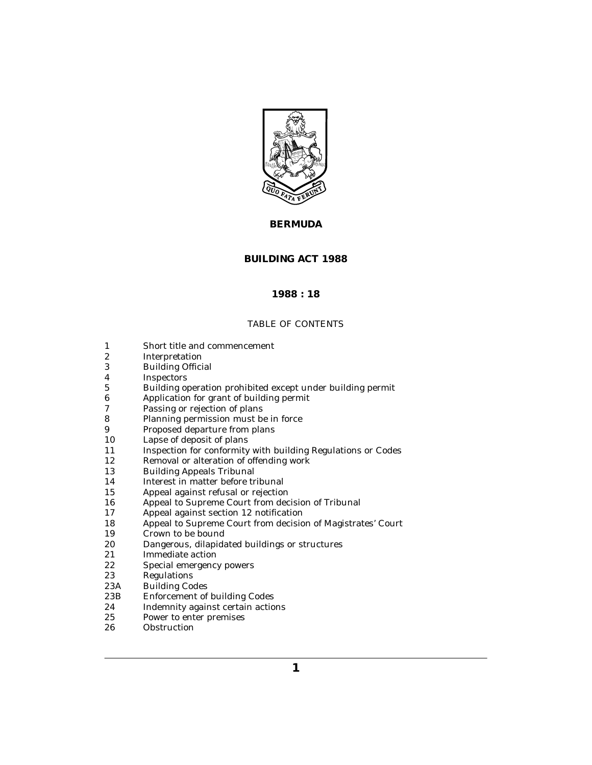

# **BERMUDA**

# **BUILDING ACT 1988**

# **1988 : 18**

# TABLE OF CONTENTS

- [Short title and commencement](#page-1-0) 1
- [Interpretation](#page-1-0) 2
- [Building Official](#page-3-0) 3
- [Inspectors](#page-3-0) 4
- [Building operation prohibited except under building permit](#page-3-0) 5
- [Application for grant of building permit](#page-4-0) 6
- [Passing or rejection of plans](#page-4-0) 7
- [Planning permission must be in force](#page-5-0) 8
- [Proposed departure from plans](#page-5-0) 9
- [Lapse of deposit of plans](#page-5-0) 10
- [Inspection for conformity with building Regulations or Codes](#page-6-0) 11
- [Removal or alteration of offending work](#page-6-0) 12
- [Building Appeals Tribunal](#page-7-0) 13
- [Interest in matter before tribunal](#page-8-0) 14
- [Appeal against refusal or rejection](#page-8-0) 15
- [Appeal to Supreme Court from decision of Tribunal](#page-9-0) 16
- [Appeal against section 12 notification](#page-9-0) 17
- [Appeal to Supreme Court from decision of Magistrates' Court](#page-9-0) 18
- [Crown to be bound](#page-9-0) 19
- [Dangerous, dilapidated buildings or structures](#page-10-0) 20
- [Immediate action](#page-10-0) 21
- [Special emergency powers](#page-11-0) 22
- [Regulations](#page-11-0) 23
- [Building Codes](#page-12-0) 23A
- [Enforcement of building Codes](#page-13-0) 23B
- [Indemnity against certain actions](#page-14-0) 24
- [Power to enter premises](#page-14-0) 25
- **[Obstruction](#page-15-0)** 26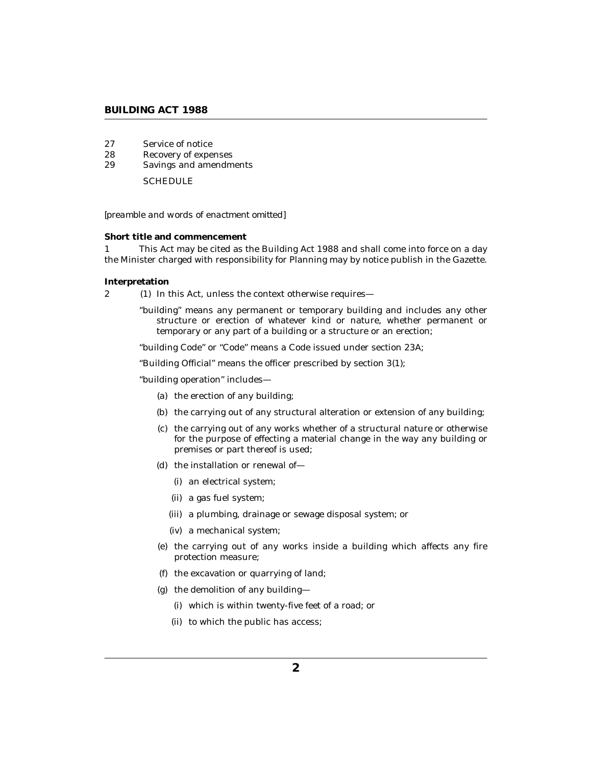# <span id="page-1-0"></span>**BUILDING ACT 1988**

- [Service of notice](#page-16-0) 27
- [Recovery of expenses](#page-16-0) 28
- [Savings and amendments](#page-17-0) 29

**[SCHEDULE](#page-18-0)** 

#### *[preamble and words of enactment omitted]*

#### **Short title and commencement**

This Act may be cited as the Building Act 1988 and shall come into force on a day the Minister charged with responsibility for Planning may by notice publish in the Gazette. 1

## **Interpretation**

2 (1) In this Act, unless the context otherwise requires—

"building" means any permanent or temporary building and includes any other structure or erection of whatever kind or nature, whether permanent or temporary or any part of a building or a structure or an erection;

"building Code" or "Code" means a Code issued under section 23A;

"Building Official" means the officer prescribed by section 3(1);

"building operation" includes—

- (a) the erection of any building;
- (b) the carrying out of any structural alteration or extension of any building;
- (c) the carrying out of any works whether of a structural nature or otherwise for the purpose of effecting a material change in the way any building or premises or part thereof is used;
- (d) the installation or renewal of-
	- (i) an electrical system;
	- a gas fuel system; (ii)
	- (iii) a plumbing, drainage or sewage disposal system; or
	- a mechanical system; (iv)
- (e) the carrying out of any works inside a building which affects any fire protection measure;
- the excavation or quarrying of land; (f)
- (g) the demolition of any building
	- which is within twenty-five feet of a road; or (i)
	- (ii) to which the public has access;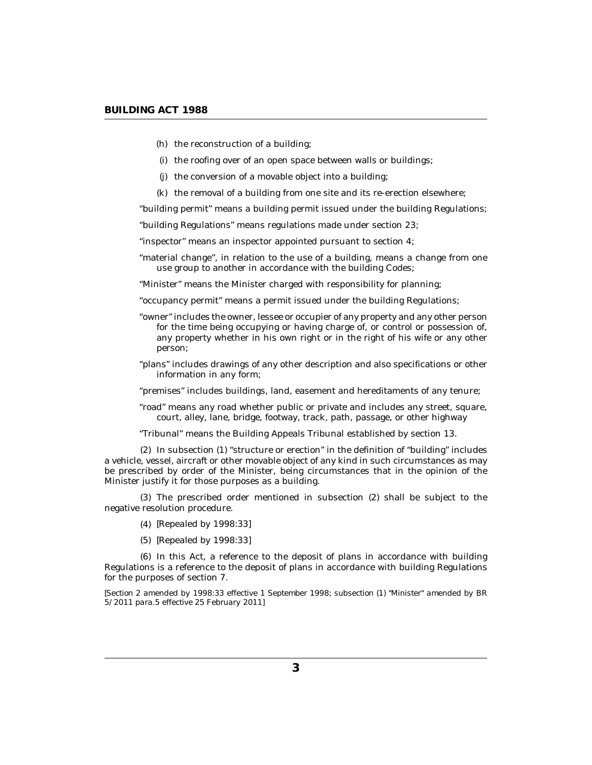- (h) the reconstruction of a building;
- (i) the roofing over of an open space between walls or buildings;
- (j) the conversion of a movable object into a building;
- (k) the removal of a building from one site and its re-erection elsewhere;

"building permit" means a building permit issued under the building Regulations;

"building Regulations" means regulations made under section 23;

"inspector" means an inspector appointed pursuant to section 4;

"material change", in relation to the use of a building, means a change from one use group to another in accordance with the building Codes;

"Minister" means the Minister charged with responsibility for planning;

"occupancy permit" means a permit issued under the building Regulations;

- "owner" includes the owner, lessee or occupier of any property and any other person for the time being occupying or having charge of, or control or possession of, any property whether in his own right or in the right of his wife or any other person;
- "plans" includes drawings of any other description and also specifications or other information in any form;
- "premises" includes buildings, land, easement and hereditaments of any tenure;
- "road" means any road whether public or private and includes any street, square, court, alley, lane, bridge, footway, track, path, passage, or other highway

"Tribunal" means the Building Appeals Tribunal established by section 13.

 $(2)$  In subsection  $(1)$  "structure or erection" in the definition of "building" includes a vehicle, vessel, aircraft or other movable object of any kind in such circumstances as may be prescribed by order of the Minister, being circumstances that in the opinion of the Minister justify it for those purposes as a building.

The prescribed order mentioned in subsection (2) shall be subject to the (3) negative resolution procedure.

- *[Repealed by 1998:33]* (4)
- *[Repealed by 1998:33]* (5)

 $(6)$  In this Act, a reference to the deposit of plans in accordance with building Regulations is a reference to the deposit of plans in accordance with building Regulations for the purposes of section 7.

*[Section 2 amended by 1998:33 effective 1 September 1998; subsection (1) "Minister" amended by BR 5/2011 para.5 effective 25 February 2011]*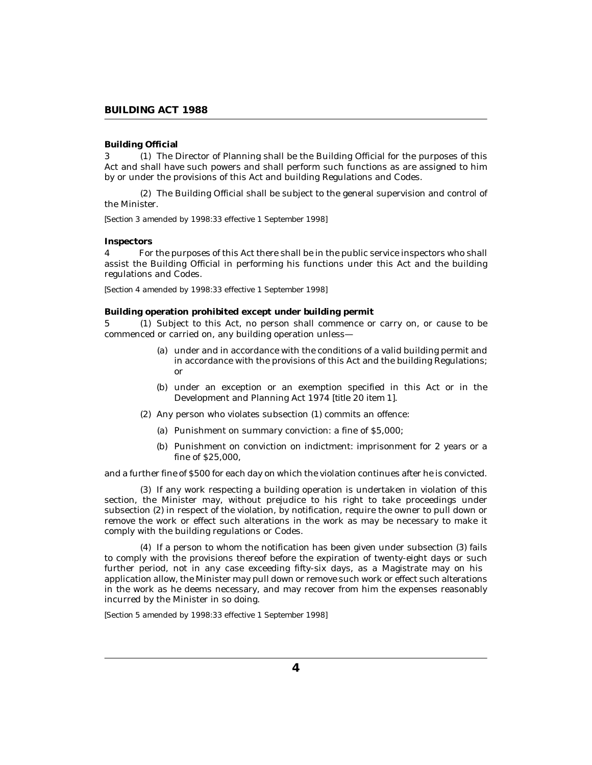# <span id="page-3-0"></span>**Building Official**

3 (1) The Director of Planning shall be the Building Official for the purposes of this Act and shall have such powers and shall perform such functions as are assigned to him by or under the provisions of this Act and building Regulations and Codes.

The Building Official shall be subject to the general supervision and control of (2) the Minister.

*[Section 3 amended by 1998:33 effective 1 September 1998]*

#### **Inspectors**

For the purposes of this Act there shall be in the public service inspectors who shall assist the Building Official in performing his functions under this Act and the building regulations and Codes. 4

*[Section 4 amended by 1998:33 effective 1 September 1998]*

**Building operation prohibited except under building permit**

5 (1) Subject to this Act, no person shall commence or carry on, or cause to be commenced or carried on, any building operation unless—

- (a) under and in accordance with the conditions of a valid building permit and in accordance with the provisions of this Act and the building Regulations; or
- (b) under an exception or an exemption specified in this Act or in the Development and Planning Act 1974 [*title 20 item 1*].
- (2) Any person who violates subsection (1) commits an offence:
	- Punishment on summary conviction: a fine of \$5,000; (a)
	- (b) Punishment on conviction on indictment: imprisonment for 2 years or a fine of \$25,000,

and a further fine of \$500 for each day on which the violation continues after he is convicted.

(3) If any work respecting a building operation is undertaken in violation of this section, the Minister may, without prejudice to his right to take proceedings under subsection (2) in respect of the violation, by notification, require the owner to pull down or remove the work or effect such alterations in the work as may be necessary to make it comply with the building regulations or Codes.

 $(4)$  If a person to whom the notification has been given under subsection  $(3)$  fails to comply with the provisions thereof before the expiration of twenty-eight days or such further period, not in any case exceeding fifty-six days, as a Magistrate may on his application allow, the Minister may pull down or remove such work or effect such alterations in the work as he deems necessary, and may recover from him the expenses reasonably incurred by the Minister in so doing.

*[Section 5 amended by 1998:33 effective 1 September 1998]*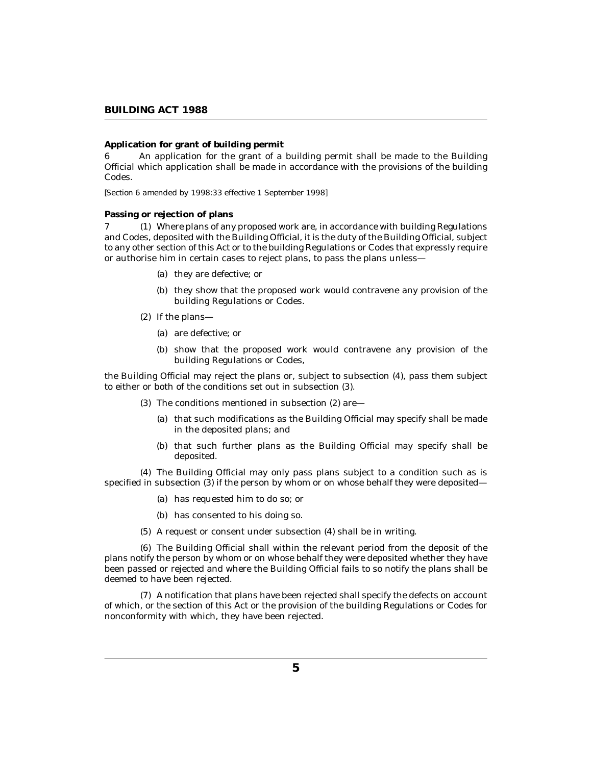# <span id="page-4-0"></span>**Application for grant of building permit**

An application for the grant of a building permit shall be made to the Building Official which application shall be made in accordance with the provisions of the building Codes. 6

*[Section 6 amended by 1998:33 effective 1 September 1998]*

### **Passing or rejection of plans**

Where plans of any proposed work are, in accordance with building Regulations 7 (1) and Codes, deposited with the Building Official, it is the duty of the Building Official, subject to any other section of this Act or to the building Regulations or Codes that expressly require or authorise him in certain cases to reject plans, to pass the plans unless—

- (a) they are defective; or
- (b) they show that the proposed work would contravene any provision of the building Regulations or Codes.
- $(2)$  If the plans—
	- (a) are defective; or
	- (b) show that the proposed work would contravene any provision of the building Regulations or Codes,

the Building Official may reject the plans or, subject to subsection (4), pass them subject to either or both of the conditions set out in subsection (3).

- (3) The conditions mentioned in subsection  $(2)$  are-
	- (a) that such modifications as the Building Official may specify shall be made in the deposited plans; and
	- (b) that such further plans as the Building Official may specify shall be deposited.

The Building Official may only pass plans subject to a condition such as is (4) specified in subsection (3) if the person by whom or on whose behalf they were deposited—

- (a) has requested him to do so; or
- (b) has consented to his doing so.
- (5) A request or consent under subsection (4) shall be in writing.

The Building Official shall within the relevant period from the deposit of the (6) plans notify the person by whom or on whose behalf they were deposited whether they have been passed or rejected and where the Building Official fails to so notify the plans shall be deemed to have been rejected.

A notification that plans have been rejected shall specify the defects on account (7) of which, or the section of this Act or the provision of the building Regulations or Codes for nonconformity with which, they have been rejected.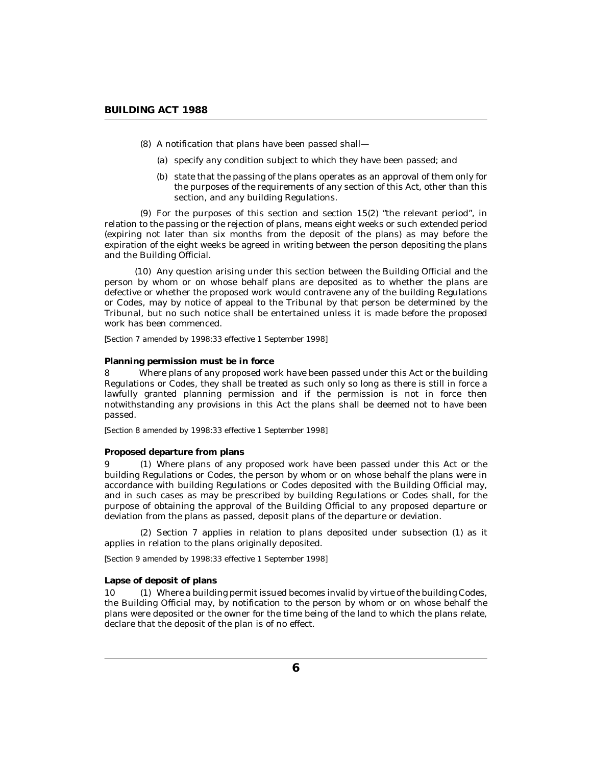- <span id="page-5-0"></span>A notification that plans have been passed shall— (8)
	- (a) specify any condition subject to which they have been passed; and
	- (b) state that the passing of the plans operates as an approval of them only for the purposes of the requirements of any section of this Act, other than this section, and any building Regulations.

 $(9)$  For the purposes of this section and section  $15(2)$  "the relevant period", in relation to the passing or the rejection of plans, means eight weeks or such extended period (expiring not later than six months from the deposit of the plans) as may before the expiration of the eight weeks be agreed in writing between the person depositing the plans and the Building Official.

(10) Any question arising under this section between the Building Official and the person by whom or on whose behalf plans are deposited as to whether the plans are defective or whether the proposed work would contravene any of the building Regulations or Codes, may by notice of appeal to the Tribunal by that person be determined by the Tribunal, but no such notice shall be entertained unless it is made before the proposed work has been commenced.

*[Section 7 amended by 1998:33 effective 1 September 1998]*

### **Planning permission must be in force**

Where plans of any proposed work have been passed under this Act or the building Regulations or Codes, they shall be treated as such only so long as there is still in force a lawfully granted planning permission and if the permission is not in force then notwithstanding any provisions in this Act the plans shall be deemed not to have been passed. 8

*[Section 8 amended by 1998:33 effective 1 September 1998]*

#### **Proposed departure from plans**

Where plans of any proposed work have been passed under this Act or the 9 (1) building Regulations or Codes, the person by whom or on whose behalf the plans were in accordance with building Regulations or Codes deposited with the Building Official may, and in such cases as may be prescribed by building Regulations or Codes shall, for the purpose of obtaining the approval of the Building Official to any proposed departure or deviation from the plans as passed, deposit plans of the departure or deviation.

 $(2)$  Section 7 applies in relation to plans deposited under subsection  $(1)$  as it applies in relation to the plans originally deposited.

*[Section 9 amended by 1998:33 effective 1 September 1998]*

#### **Lapse of deposit of plans**

10 (1) Where a building permit issued becomes invalid by virtue of the building Codes, the Building Official may, by notification to the person by whom or on whose behalf the plans were deposited or the owner for the time being of the land to which the plans relate, declare that the deposit of the plan is of no effect.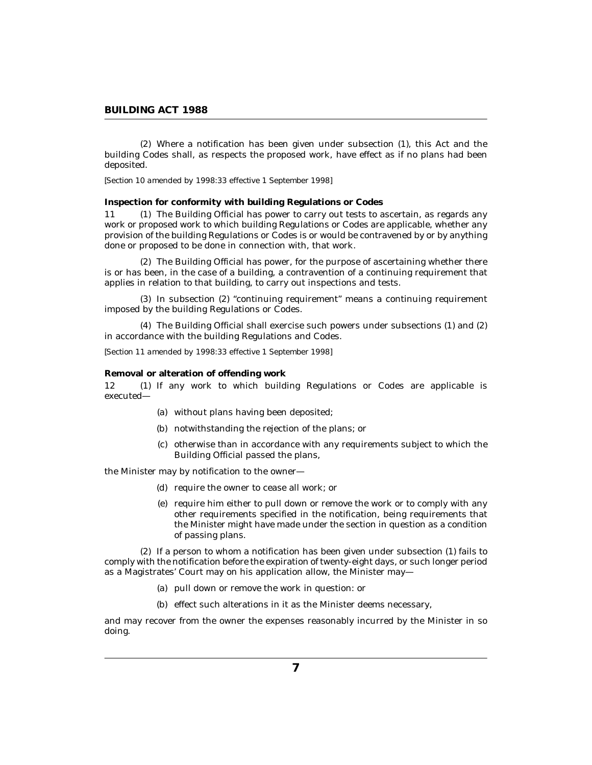<span id="page-6-0"></span>Where a notification has been given under subsection (1), this Act and the (2) building Codes shall, as respects the proposed work, have effect as if no plans had been deposited.

*[Section 10 amended by 1998:33 effective 1 September 1998]*

**Inspection for conformity with building Regulations or Codes**

11 (1) The Building Official has power to carry out tests to ascertain, as regards any work or proposed work to which building Regulations or Codes are applicable, whether any provision of the building Regulations or Codes is or would be contravened by or by anything done or proposed to be done in connection with, that work.

The Building Official has power, for the purpose of ascertaining whether there (2) is or has been, in the case of a building, a contravention of a continuing requirement that applies in relation to that building, to carry out inspections and tests.

(3) In subsection (2) "continuing requirement" means a continuing requirement imposed by the building Regulations or Codes.

The Building Official shall exercise such powers under subsections (1) and (2) (4) in accordance with the building Regulations and Codes.

*[Section 11 amended by 1998:33 effective 1 September 1998]*

**Removal or alteration of offending work**

12 (1) If any work to which building Regulations or Codes are applicable is executed—

- (a) without plans having been deposited;
- (b) notwithstanding the rejection of the plans; or
- (c) otherwise than in accordance with any requirements subject to which the Building Official passed the plans,

the Minister may by notification to the owner—

- (d) require the owner to cease all work; or
- (e) require him either to pull down or remove the work or to comply with any other requirements specified in the notification, being requirements that the Minister might have made under the section in question as a condition of passing plans.

 $(2)$  If a person to whom a notification has been given under subsection  $(1)$  fails to comply with the notification before the expiration of twenty-eight days, or such longer period as a Magistrates' Court may on his application allow, the Minister may—

- (a) pull down or remove the work in question: or
- (b) effect such alterations in it as the Minister deems necessary,

and may recover from the owner the expenses reasonably incurred by the Minister in so doing.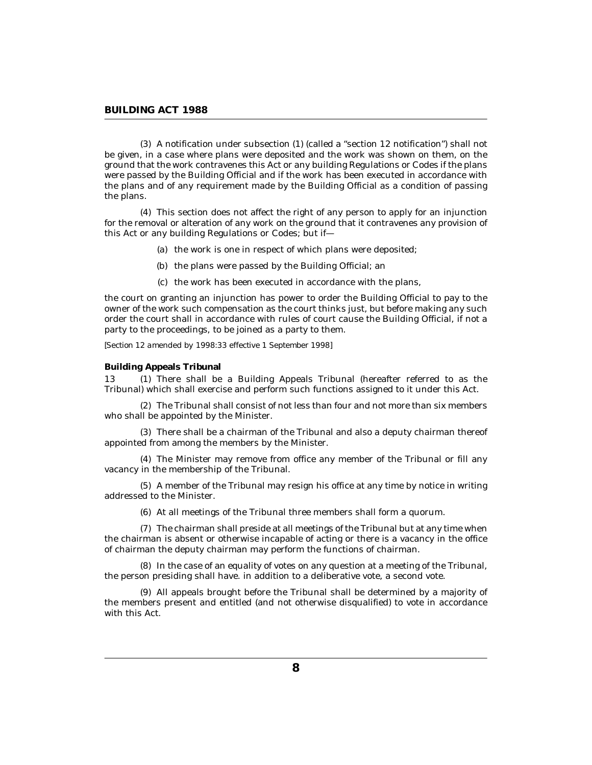<span id="page-7-0"></span>A notification under subsection (1) (called a "section 12 notification") shall not (3) be given, in a case where plans were deposited and the work was shown on them, on the ground that the work contravenes this Act or any building Regulations or Codes if the plans were passed by the Building Official and if the work has been executed in accordance with the plans and of any requirement made by the Building Official as a condition of passing the plans.

This section does not affect the right of any person to apply for an injunction (4) for the removal or alteration of any work on the ground that it contravenes any provision of this Act or any building Regulations or Codes; but if—

- (a) the work is one in respect of which plans were deposited;
- (b) the plans were passed by the Building Official; an
- (c) the work has been executed in accordance with the plans,

the court on granting an injunction has power to order the Building Official to pay to the owner of the work such compensation as the court thinks just, but before making any such order the court shall in accordance with rules of court cause the Building Official, if not a party to the proceedings, to be joined as a party to them.

*[Section 12 amended by 1998:33 effective 1 September 1998]*

**Building Appeals Tribunal**

13 (1) There shall be a Building Appeals Tribunal (hereafter referred to as the Tribunal) which shall exercise and perform such functions assigned to it under this Act.

The Tribunal shall consist of not less than four and not more than six members (2) who shall be appointed by the Minister.

There shall be a chairman of the Tribunal and also a deputy chairman thereof (3) appointed from among the members by the Minister.

The Minister may remove from office any member of the Tribunal or fill any (4) vacancy in the membership of the Tribunal.

A member of the Tribunal may resign his office at any time by notice in writing (5) addressed to the Minister.

(6) At all meetings of the Tribunal three members shall form a quorum.

The chairman shall preside at all meetings of the Tribunal but at any time when (7) the chairman is absent or otherwise incapable of acting or there is a vacancy in the office of chairman the deputy chairman may perform the functions of chairman.

(8) In the case of an equality of votes on any question at a meeting of the Tribunal, the person presiding shall have. in addition to a deliberative vote, a second vote.

All appeals brought before the Tribunal shall be determined by a majority of (9) the members present and entitled (and not otherwise disqualified) to vote in accordance with this Act.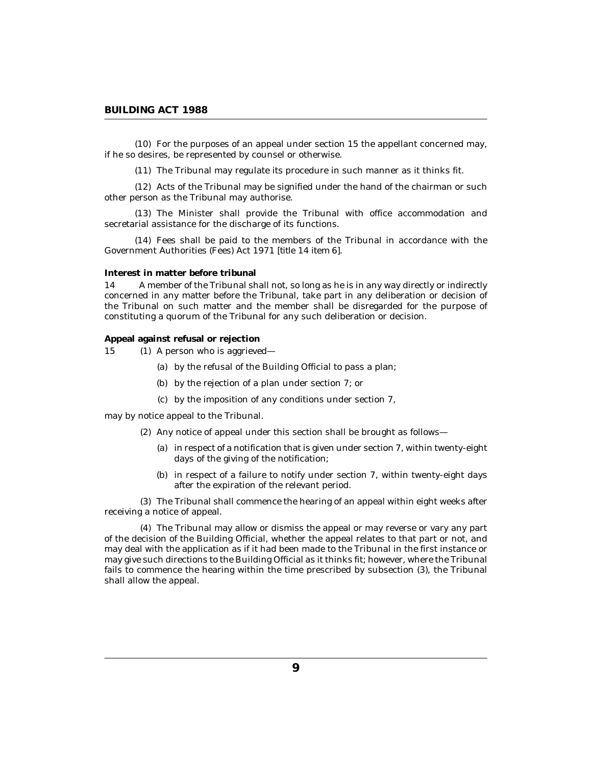<span id="page-8-0"></span> $(10)$  For the purposes of an appeal under section 15 the appellant concerned may, if he so desires, be represented by counsel or otherwise.

 $(11)$  The Tribunal may regulate its procedure in such manner as it thinks fit.

 $(12)$  Acts of the Tribunal may be signified under the hand of the chairman or such other person as the Tribunal may authorise.

(13) The Minister shall provide the Tribunal with office accommodation and secretarial assistance for the discharge of its functions.

(14) Fees shall be paid to the members of the Tribunal in accordance with the Government Authorities (Fees) Act 1971 [*title 14 item 6*].

### **Interest in matter before tribunal**

A member of the Tribunal shall not, so long as he is in any way directly or indirectly concerned in any matter before the Tribunal, take part in any deliberation or decision of the Tribunal on such matter and the member shall be disregarded for the purpose of constituting a quorum of the Tribunal for any such deliberation or decision. 14

#### **Appeal against refusal or rejection**

15 (1) A person who is aggrieved—

- (a) by the refusal of the Building Official to pass a plan;
- by the rejection of a plan under section 7; or (b)
- by the imposition of any conditions under section 7, (c)

may by notice appeal to the Tribunal.

- (2) Any notice of appeal under this section shall be brought as follows—
	- $(a)$  in respect of a notification that is given under section 7, within twenty-eight days of the giving of the notification;
	- (b) in respect of a failure to notify under section 7, within twenty-eight days after the expiration of the relevant period.

The Tribunal shall commence the hearing of an appeal within eight weeks after (3) receiving a notice of appeal.

The Tribunal may allow or dismiss the appeal or may reverse or vary any part (4) of the decision of the Building Official, whether the appeal relates to that part or not, and may deal with the application as if it had been made to the Tribunal in the first instance or may give such directions to the Building Official as it thinks fit; however, where the Tribunal fails to commence the hearing within the time prescribed by subsection (3), the Tribunal shall allow the appeal.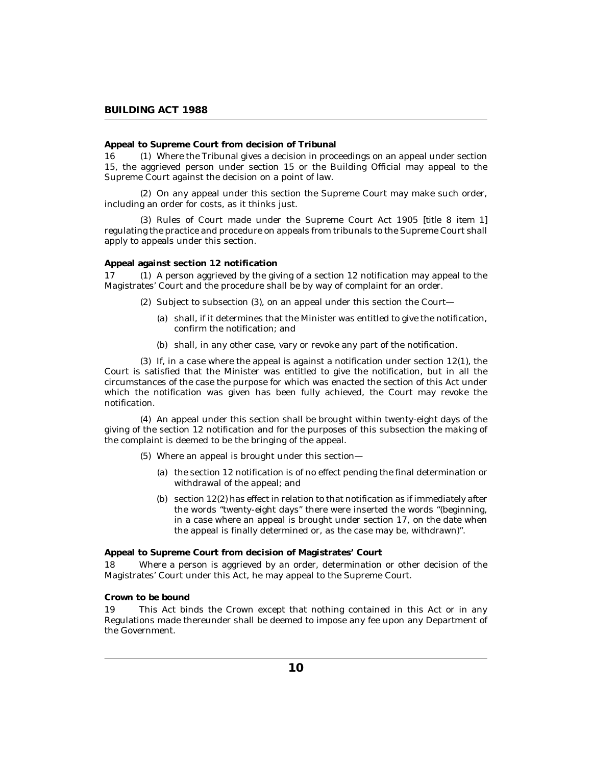<span id="page-9-0"></span>**Appeal to Supreme Court from decision of Tribunal**

Where the Tribunal gives a decision in proceedings on an appeal under section 15, the aggrieved person under section 15 or the Building Official may appeal to the Supreme Court against the decision on a point of law. 16

(2) On any appeal under this section the Supreme Court may make such order, including an order for costs, as it thinks just.

(3) Rules of Court made under the Supreme Court Act 1905 *[title 8 item 1]* regulating the practice and procedure on appeals from tribunals to the Supreme Court shall apply to appeals under this section.

### **Appeal against section 12 notification**

 $(1)$  A person aggrieved by the giving of a section 12 notification may appeal to the Magistrates' Court and the procedure shall be by way of complaint for an order. 17

- $(2)$  Subject to subsection  $(3)$ , on an appeal under this section the Court
	- shall, if it determines that the Minister was entitled to give the notification, (a) confirm the notification; and
	- (b) shall, in any other case, vary or revoke any part of the notification.

 $(3)$  If, in a case where the appeal is against a notification under section  $12(1)$ , the Court is satisfied that the Minister was entitled to give the notification, but in all the circumstances of the case the purpose for which was enacted the section of this Act under which the notification was given has been fully achieved, the Court may revoke the notification.

An appeal under this section shall be brought within twenty-eight days of the (4) giving of the section 12 notification and for the purposes of this subsection the making of the complaint is deemed to be the bringing of the appeal.

- Where an appeal is brought under this section— (5)
	- (a) the section  $12$  notification is of no effect pending the final determination or withdrawal of the appeal; and
	- (b) section  $12(2)$  has effect in relation to that notification as if immediately after the words "twenty-eight days" there were inserted the words "(beginning, in a case where an appeal is brought under section 17, on the date when the appeal is finally determined or, as the case may be, withdrawn)".

**Appeal to Supreme Court from decision of Magistrates' Court**

Where a person is aggrieved by an order, determination or other decision of the Magistrates' Court under this Act, he may appeal to the Supreme Court. 18

# **Crown to be bound**

This Act binds the Crown except that nothing contained in this Act or in any Regulations made thereunder shall be deemed to impose any fee upon any Department of the Government. 19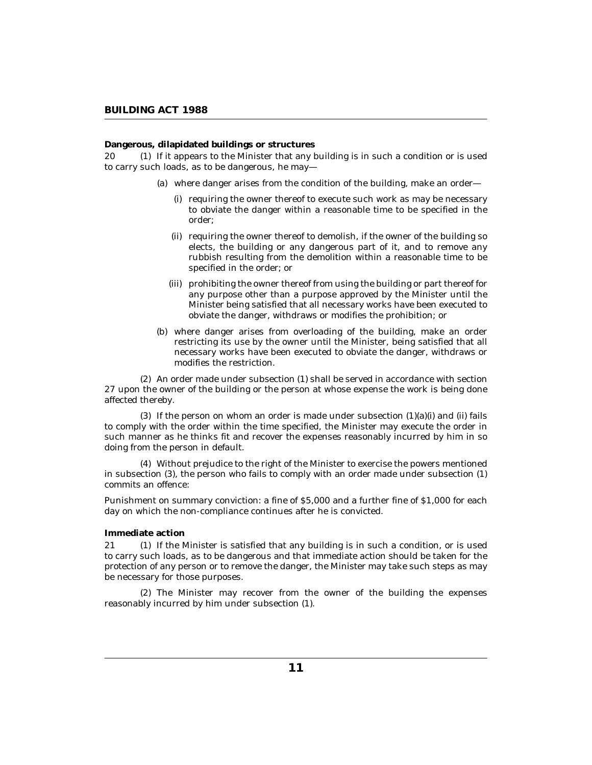<span id="page-10-0"></span>**Dangerous, dilapidated buildings or structures**

 $(1)$  If it appears to the Minister that any building is in such a condition or is used to carry such loads, as to be dangerous, he may— 20

- where danger arises from the condition of the building, make an order— (a)
	- (i) requiring the owner thereof to execute such work as may be necessary to obviate the danger within a reasonable time to be specified in the order;
	- (ii) requiring the owner thereof to demolish, if the owner of the building so elects, the building or any dangerous part of it, and to remove any rubbish resulting from the demolition within a reasonable time to be specified in the order; or
	- (iii) prohibiting the owner thereof from using the building or part thereof for any purpose other than a purpose approved by the Minister until the Minister being satisfied that all necessary works have been executed to obviate the danger, withdraws or modifies the prohibition; or
- where danger arises from overloading of the building, make an order (b) restricting its use by the owner until the Minister, being satisfied that all necessary works have been executed to obviate the danger, withdraws or modifies the restriction.

An order made under subsection (1) shall be served in accordance with section (2) 27 upon the owner of the building or the person at whose expense the work is being done affected thereby.

 $(3)$  If the person on whom an order is made under subsection  $(1)(a)(i)$  and  $(ii)$  fails to comply with the order within the time specified, the Minister may execute the order in such manner as he thinks fit and recover the expenses reasonably incurred by him in so doing from the person in default.

Without prejudice to the right of the Minister to exercise the powers mentioned (4) in subsection (3), the person who fails to comply with an order made under subsection (1) commits an offence:

Punishment on summary conviction: a fine of \$5,000 and a further fine of \$1,000 for each day on which the non-compliance continues after he is convicted.

### **Immediate action**

21 (1) If the Minister is satisfied that any building is in such a condition, or is used to carry such loads, as to be dangerous and that immediate action should be taken for the protection of any person or to remove the danger, the Minister may take such steps as may be necessary for those purposes.

(2) The Minister may recover from the owner of the building the expenses reasonably incurred by him under subsection (1).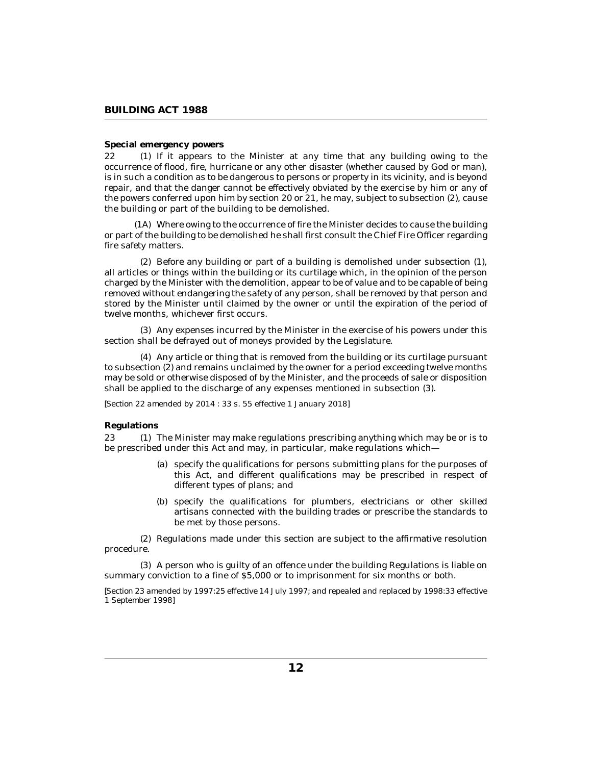## <span id="page-11-0"></span>**Special emergency powers**

22 (1) If it appears to the Minister at any time that any building owing to the occurrence of flood, fire, hurricane or any other disaster (whether caused by God or man), is in such a condition as to be dangerous to persons or property in its vicinity, and is beyond repair, and that the danger cannot be effectively obviated by the exercise by him or any of the powers conferred upon him by section 20 or 21, he may, subject to subsection (2), cause the building or part of the building to be demolished.

Where owing to the occurrence of fire the Minister decides to cause the building (1A) or part of the building to be demolished he shall first consult the Chief Fire Officer regarding fire safety matters.

 $(2)$  Before any building or part of a building is demolished under subsection  $(1)$ , all articles or things within the building or its curtilage which, in the opinion of the person charged by the Minister with the demolition, appear to be of value and to be capable of being removed without endangering the safety of any person, shall be removed by that person and stored by the Minister until claimed by the owner or until the expiration of the period of twelve months, whichever first occurs.

Any expenses incurred by the Minister in the exercise of his powers under this (3) section shall be defrayed out of moneys provided by the Legislature.

Any article or thing that is removed from the building or its curtilage pursuant (4) to subsection (2) and remains unclaimed by the owner for a period exceeding twelve months may be sold or otherwise disposed of by the Minister, and the proceeds of sale or disposition shall be applied to the discharge of any expenses mentioned in subsection (3).

*[Section 22 amended by 2014 : 33 s. 55 effective 1 January 2018]*

# **Regulations**

The Minister may make regulations prescribing anything which may be or is to be prescribed under this Act and may, in particular, make regulations which— 23

- (a) specify the qualifications for persons submitting plans for the purposes of this Act, and different qualifications may be prescribed in respect of different types of plans; and
- (b) specify the qualifications for plumbers, electricians or other skilled artisans connected with the building trades or prescribe the standards to be met by those persons.

(2) Regulations made under this section are subject to the affirmative resolution procedure.

A person who is guilty of an offence under the building Regulations is liable on (3) summary conviction to a fine of \$5,000 or to imprisonment for six months or both.

*[Section 23 amended by 1997:25 effective 14 July 1997; and repealed and replaced by 1998:33 effective 1 September 1998]*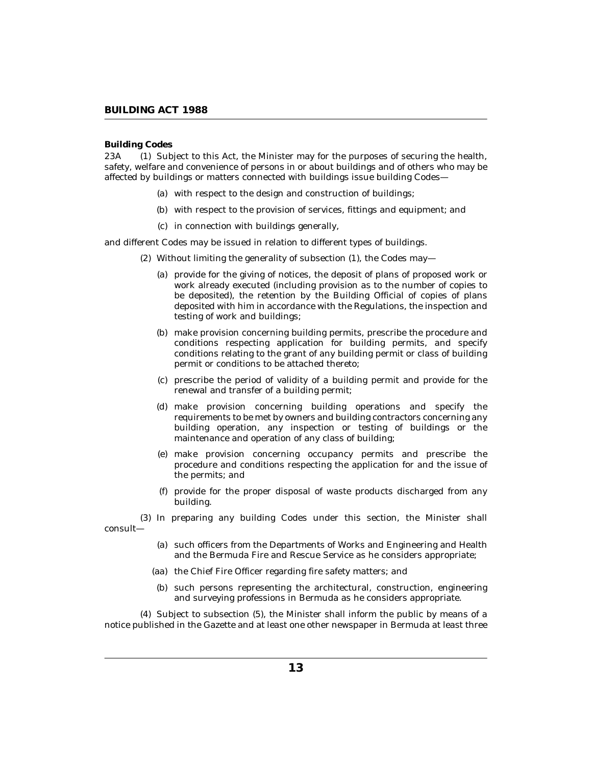# <span id="page-12-0"></span>**Building Codes**

Subject to this Act, the Minister may for the purposes of securing the health, safety, welfare and convenience of persons in or about buildings and of others who may be affected by buildings or matters connected with buildings issue building Codes— 23A

- (a) with respect to the design and construction of buildings;
- (b) with respect to the provision of services, fittings and equipment; and
- (c) in connection with buildings generally,

and different Codes may be issued in relation to different types of buildings.

- (2) Without limiting the generality of subsection  $(1)$ , the Codes may-
	- (a) provide for the giving of notices, the deposit of plans of proposed work or work already executed (including provision as to the number of copies to be deposited), the retention by the Building Official of copies of plans deposited with him in accordance with the Regulations, the inspection and testing of work and buildings;
	- (b) make provision concerning building permits, prescribe the procedure and conditions respecting application for building permits, and specify conditions relating to the grant of any building permit or class of building permit or conditions to be attached thereto;
	- (c) prescribe the period of validity of a building permit and provide for the renewal and transfer of a building permit;
	- make provision concerning building operations and specify the (d) requirements to be met by owners and building contractors concerning any building operation, any inspection or testing of buildings or the maintenance and operation of any class of building;
	- make provision concerning occupancy permits and prescribe the (e) procedure and conditions respecting the application for and the issue of the permits; and
	- provide for the proper disposal of waste products discharged from any (f) building.

(3) In preparing any building Codes under this section, the Minister shall consult—

- (a) such officers from the Departments of Works and Engineering and Health and the Bermuda Fire and Rescue Service as he considers appropriate;
- (aa) the Chief Fire Officer regarding fire safety matters; and
- (b) such persons representing the architectural, construction, engineering and surveying professions in Bermuda as he considers appropriate.

(4) Subject to subsection (5), the Minister shall inform the public by means of a notice published in the Gazette and at least one other newspaper in Bermuda at least three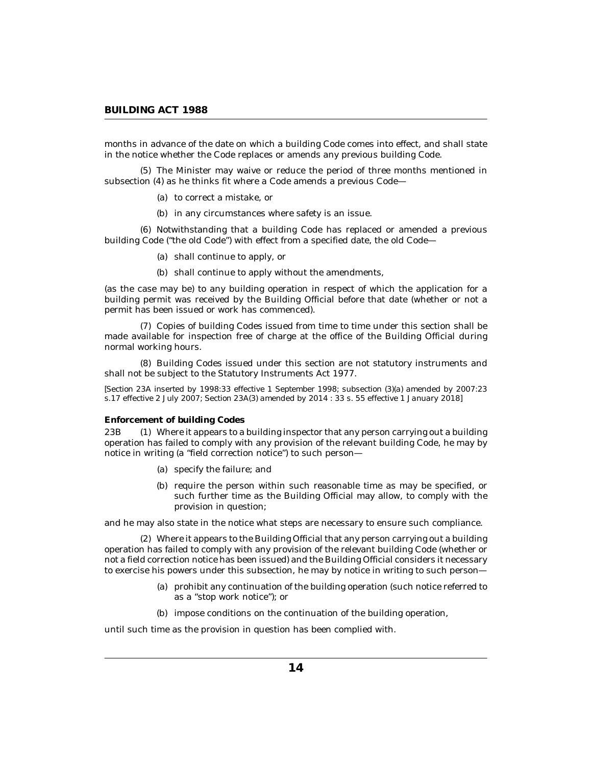<span id="page-13-0"></span>months in advance of the date on which a building Code comes into effect, and shall state in the notice whether the Code replaces or amends any previous building Code.

(5) The Minister may waive or reduce the period of three months mentioned in subsection (4) as he thinks fit where a Code amends a previous Code—

- (a) to correct a mistake, or
- (b) in any circumstances where safety is an issue.

(6) Notwithstanding that a building Code has replaced or amended a previous building Code ("the old Code") with effect from a specified date, the old Code—

- (a) shall continue to apply, or
- (b) shall continue to apply without the amendments,

(as the case may be) to any building operation in respect of which the application for a building permit was received by the Building Official before that date (whether or not a permit has been issued or work has commenced).

(7) Copies of building Codes issued from time to time under this section shall be made available for inspection free of charge at the office of the Building Official during normal working hours.

Building Codes issued under this section are not statutory instruments and (8) shall not be subject to the Statutory Instruments Act 1977.

*[Section 23A inserted by 1998:33 effective 1 September 1998; subsection (3)(a) amended by 2007:23 s.17 effective 2 July 2007; Section 23A(3) amended by 2014 : 33 s. 55 effective 1 January 2018]*

#### **Enforcement of building Codes**

Where it appears to a building inspector that any person carrying out a building operation has failed to comply with any provision of the relevant building Code, he may by notice in writing (a "field correction notice") to such person— 23B

- (a) specify the failure; and
- (b) require the person within such reasonable time as may be specified, or such further time as the Building Official may allow, to comply with the provision in question;

and he may also state in the notice what steps are necessary to ensure such compliance.

Where it appears to the Building Official that any person carrying out a building (2) operation has failed to comply with any provision of the relevant building Code (whether or not a field correction notice has been issued) and the Building Official considers it necessary to exercise his powers under this subsection, he may by notice in writing to such person—

- (a) prohibit any continuation of the building operation (such notice referred to as a "stop work notice"); or
- (b) impose conditions on the continuation of the building operation,

until such time as the provision in question has been complied with.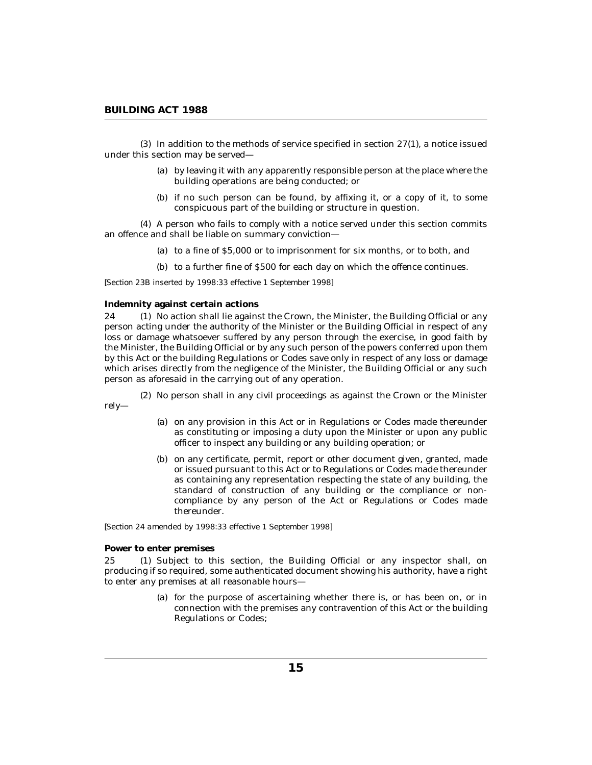<span id="page-14-0"></span> $(3)$  In addition to the methods of service specified in section  $27(1)$ , a notice issued under this section may be served—

- (a) by leaving it with any apparently responsible person at the place where the building operations are being conducted; or
- (b) if no such person can be found, by affixing it, or a copy of it, to some conspicuous part of the building or structure in question.

A person who fails to comply with a notice served under this section commits (4) an offence and shall be liable on summary conviction—

- (a) to a fine of \$5,000 or to imprisonment for six months, or to both, and
- (b) to a further fine of \$500 for each day on which the offence continues.

*[Section 23B inserted by 1998:33 effective 1 September 1998]*

### **Indemnity against certain actions**

24 (1) No action shall lie against the Crown, the Minister, the Building Official or any person acting under the authority of the Minister or the Building Official in respect of any loss or damage whatsoever suffered by any person through the exercise, in good faith by the Minister, the Building Official or by any such person of the powers conferred upon them by this Act or the building Regulations or Codes save only in respect of any loss or damage which arises directly from the negligence of the Minister, the Building Official or any such person as aforesaid in the carrying out of any operation.

(2) No person shall in any civil proceedings as against the Crown or the Minister rely—

- (a) on any provision in this Act or in Regulations or Codes made thereunder as constituting or imposing a duty upon the Minister or upon any public officer to inspect any building or any building operation; or
- (b) on any certificate, permit, report or other document given, granted, made or issued pursuant to this Act or to Regulations or Codes made thereunder as containing any representation respecting the state of any building, the standard of construction of any building or the compliance or noncompliance by any person of the Act or Regulations or Codes made thereunder.

*[Section 24 amended by 1998:33 effective 1 September 1998]*

# **Power to enter premises**

Subject to this section, the Building Official or any inspector shall, on producing if so required, some authenticated document showing his authority, have a right to enter any premises at all reasonable hours—  $25<sub>1</sub>$ 

> for the purpose of ascertaining whether there is, or has been on, or in (a) connection with the premises any contravention of this Act or the building Regulations or Codes;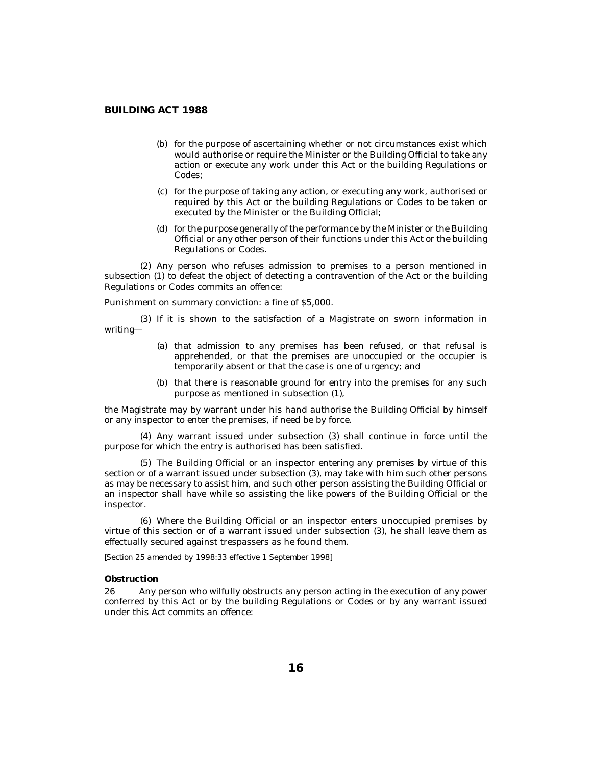- <span id="page-15-0"></span>(b) for the purpose of ascertaining whether or not circumstances exist which would authorise or require the Minister or the Building Official to take any action or execute any work under this Act or the building Regulations or Codes;
- for the purpose of taking any action, or executing any work, authorised or (c) required by this Act or the building Regulations or Codes to be taken or executed by the Minister or the Building Official;
- (d) for the purpose generally of the performance by the Minister or the Building Official or any other person of their functions under this Act or the building Regulations or Codes.

(2) Any person who refuses admission to premises to a person mentioned in subsection (1) to defeat the object of detecting a contravention of the Act or the building Regulations or Codes commits an offence:

Punishment on summary conviction: a fine of \$5,000.

 $(3)$  If it is shown to the satisfaction of a Magistrate on sworn information in writing—

- (a) that admission to any premises has been refused, or that refusal is apprehended, or that the premises are unoccupied or the occupier is temporarily absent or that the case is one of urgency; and
- (b) that there is reasonable ground for entry into the premises for any such purpose as mentioned in subsection (1),

the Magistrate may by warrant under his hand authorise the Building Official by himself or any inspector to enter the premises, if need be by force.

Any warrant issued under subsection (3) shall continue in force until the (4) purpose for which the entry is authorised has been satisfied.

The Building Official or an inspector entering any premises by virtue of this (5) section or of a warrant issued under subsection (3), may take with him such other persons as may be necessary to assist him, and such other person assisting the Building Official or an inspector shall have while so assisting the like powers of the Building Official or the inspector.

Where the Building Official or an inspector enters unoccupied premises by (6) virtue of this section or of a warrant issued under subsection (3), he shall leave them as effectually secured against trespassers as he found them.

*[Section 25 amended by 1998:33 effective 1 September 1998]*

# **Obstruction**

Any person who wilfully obstructs any person acting in the execution of any power conferred by this Act or by the building Regulations or Codes or by any warrant issued under this Act commits an offence: 26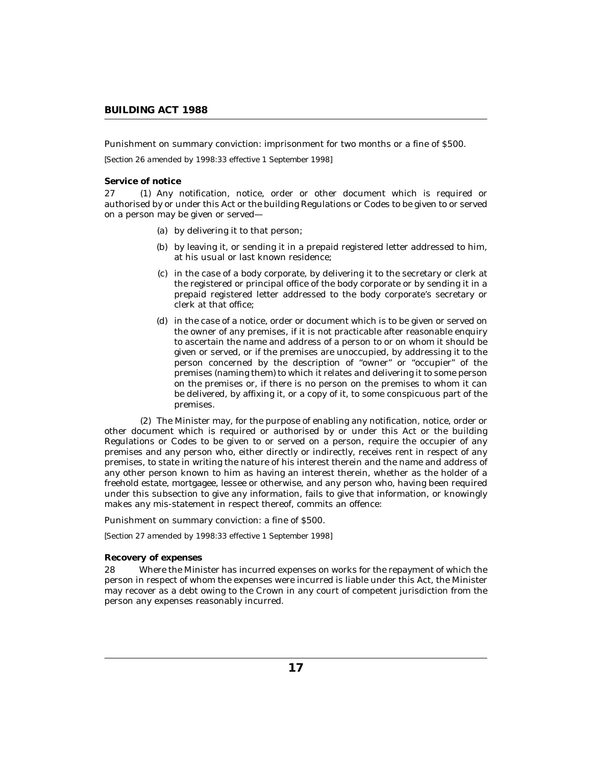<span id="page-16-0"></span>Punishment on summary conviction: imprisonment for two months or a fine of \$500.

*[Section 26 amended by 1998:33 effective 1 September 1998]*

### **Service of notice**

27 (1) Any notification, notice, order or other document which is required or authorised by or under this Act or the building Regulations or Codes to be given to or served on a person may be given or served—

- (a) by delivering it to that person;
- by leaving it, or sending it in a prepaid registered letter addressed to him, (b) at his usual or last known residence;
- (c) in the case of a body corporate, by delivering it to the secretary or clerk at the registered or principal office of the body corporate or by sending it in a prepaid registered letter addressed to the body corporate's secretary or clerk at that office;
- in the case of a notice, order or document which is to be given or served on (d) the owner of any premises, if it is not practicable after reasonable enquiry to ascertain the name and address of a person to or on whom it should be given or served, or if the premises are unoccupied, by addressing it to the person concerned by the description of "owner" or "occupier" of the premises (naming them) to which it relates and delivering it to some person on the premises or, if there is no person on the premises to whom it can be delivered, by affixing it, or a copy of it, to some conspicuous part of the premises.

The Minister may, for the purpose of enabling any notification, notice, order or (2) other document which is required or authorised by or under this Act or the building Regulations or Codes to be given to or served on a person, require the occupier of any premises and any person who, either directly or indirectly, receives rent in respect of any premises, to state in writing the nature of his interest therein and the name and address of any other person known to him as having an interest therein, whether as the holder of a freehold estate, mortgagee, lessee or otherwise, and any person who, having been required under this subsection to give any information, fails to give that information, or knowingly makes any mis-statement in respect thereof, commits an offence:

Punishment on summary conviction: a fine of \$500.

*[Section 27 amended by 1998:33 effective 1 September 1998]*

# **Recovery of expenses**

Where the Minister has incurred expenses on works for the repayment of which the person in respect of whom the expenses were incurred is liable under this Act, the Minister may recover as a debt owing to the Crown in any court of competent jurisdiction from the person any expenses reasonably incurred. 28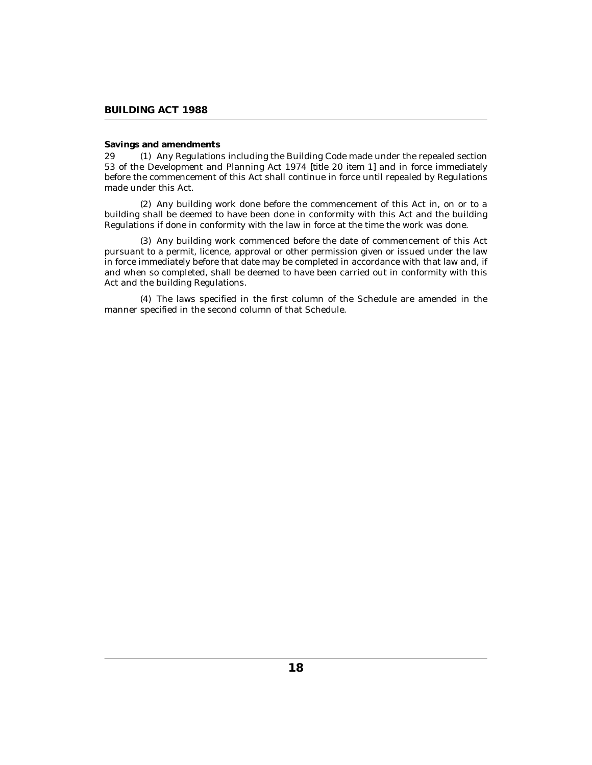## <span id="page-17-0"></span>**Savings and amendments**

29 (1) Any Regulations including the Building Code made under the repealed section 53 of the Development and Planning Act 1974 [*title 20 item 1*] and in force immediately before the commencement of this Act shall continue in force until repealed by Regulations made under this Act.

(2) Any building work done before the commencement of this Act in, on or to a building shall be deemed to have been done in conformity with this Act and the building Regulations if done in conformity with the law in force at the time the work was done.

(3) Any building work commenced before the date of commencement of this Act pursuant to a permit, licence, approval or other permission given or issued under the law in force immediately before that date may be completed in accordance with that law and, if and when so completed, shall be deemed to have been carried out in conformity with this Act and the building Regulations.

The laws specified in the first column of the Schedule are amended in the (4) manner specified in the second column of that Schedule.